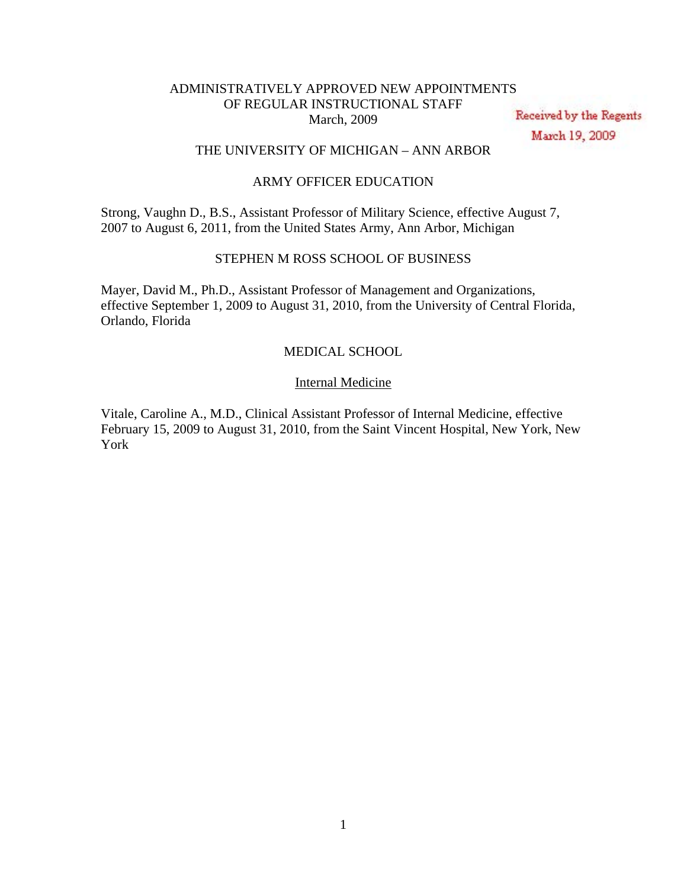# ADMINISTRATIVELY APPROVED NEW APPOINTMENTS OF REGULAR INSTRUCTIONAL STAFF March, 2009

Received by the Regents March 19, 2009

# THE UNIVERSITY OF MICHIGAN – ANN ARBOR

# ARMY OFFICER EDUCATION

Strong, Vaughn D., B.S., Assistant Professor of Military Science, effective August 7, 2007 to August 6, 2011, from the United States Army, Ann Arbor, Michigan

# STEPHEN M ROSS SCHOOL OF BUSINESS

Mayer, David M., Ph.D., Assistant Professor of Management and Organizations, effective September 1, 2009 to August 31, 2010, from the University of Central Florida, Orlando, Florida

# MEDICAL SCHOOL

### Internal Medicine

Vitale, Caroline A., M.D., Clinical Assistant Professor of Internal Medicine, effective February 15, 2009 to August 31, 2010, from the Saint Vincent Hospital, New York, New York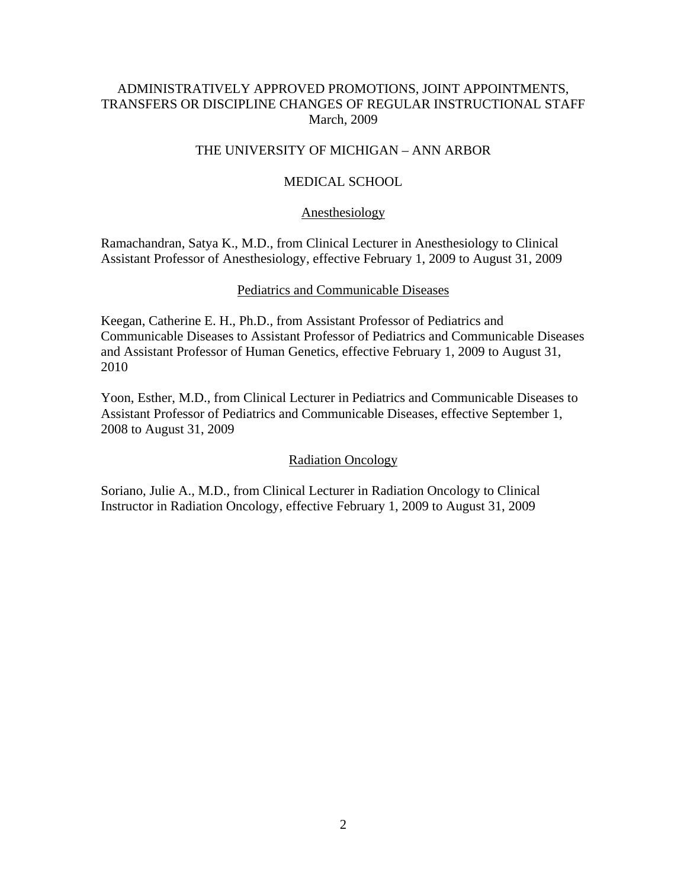# ADMINISTRATIVELY APPROVED PROMOTIONS, JOINT APPOINTMENTS, TRANSFERS OR DISCIPLINE CHANGES OF REGULAR INSTRUCTIONAL STAFF March, 2009

# THE UNIVERSITY OF MICHIGAN – ANN ARBOR

# MEDICAL SCHOOL

## Anesthesiology

Ramachandran, Satya K., M.D., from Clinical Lecturer in Anesthesiology to Clinical Assistant Professor of Anesthesiology, effective February 1, 2009 to August 31, 2009

## Pediatrics and Communicable Diseases

Keegan, Catherine E. H., Ph.D., from Assistant Professor of Pediatrics and Communicable Diseases to Assistant Professor of Pediatrics and Communicable Diseases and Assistant Professor of Human Genetics, effective February 1, 2009 to August 31, 2010

Yoon, Esther, M.D., from Clinical Lecturer in Pediatrics and Communicable Diseases to Assistant Professor of Pediatrics and Communicable Diseases, effective September 1, 2008 to August 31, 2009

# Radiation Oncology

Soriano, Julie A., M.D., from Clinical Lecturer in Radiation Oncology to Clinical Instructor in Radiation Oncology, effective February 1, 2009 to August 31, 2009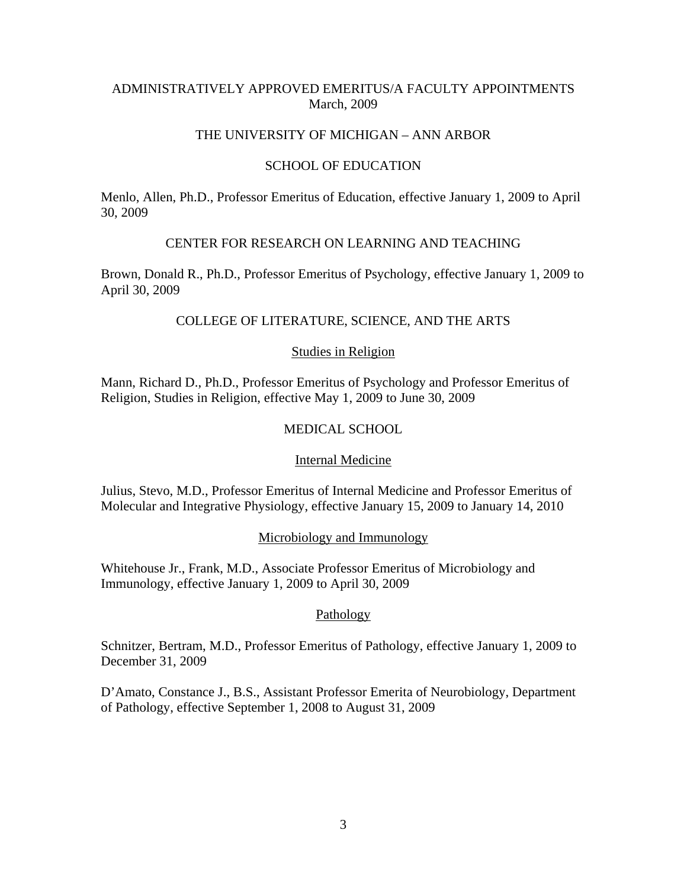# ADMINISTRATIVELY APPROVED EMERITUS/A FACULTY APPOINTMENTS March, 2009

## THE UNIVERSITY OF MICHIGAN – ANN ARBOR

## SCHOOL OF EDUCATION

Menlo, Allen, Ph.D., Professor Emeritus of Education, effective January 1, 2009 to April 30, 2009

## CENTER FOR RESEARCH ON LEARNING AND TEACHING

Brown, Donald R., Ph.D., Professor Emeritus of Psychology, effective January 1, 2009 to April 30, 2009

# COLLEGE OF LITERATURE, SCIENCE, AND THE ARTS

## Studies in Religion

Mann, Richard D., Ph.D., Professor Emeritus of Psychology and Professor Emeritus of Religion, Studies in Religion, effective May 1, 2009 to June 30, 2009

# MEDICAL SCHOOL

## Internal Medicine

Julius, Stevo, M.D., Professor Emeritus of Internal Medicine and Professor Emeritus of Molecular and Integrative Physiology, effective January 15, 2009 to January 14, 2010

## Microbiology and Immunology

Whitehouse Jr., Frank, M.D., Associate Professor Emeritus of Microbiology and Immunology, effective January 1, 2009 to April 30, 2009

## Pathology

Schnitzer, Bertram, M.D., Professor Emeritus of Pathology, effective January 1, 2009 to December 31, 2009

D'Amato, Constance J., B.S., Assistant Professor Emerita of Neurobiology, Department of Pathology, effective September 1, 2008 to August 31, 2009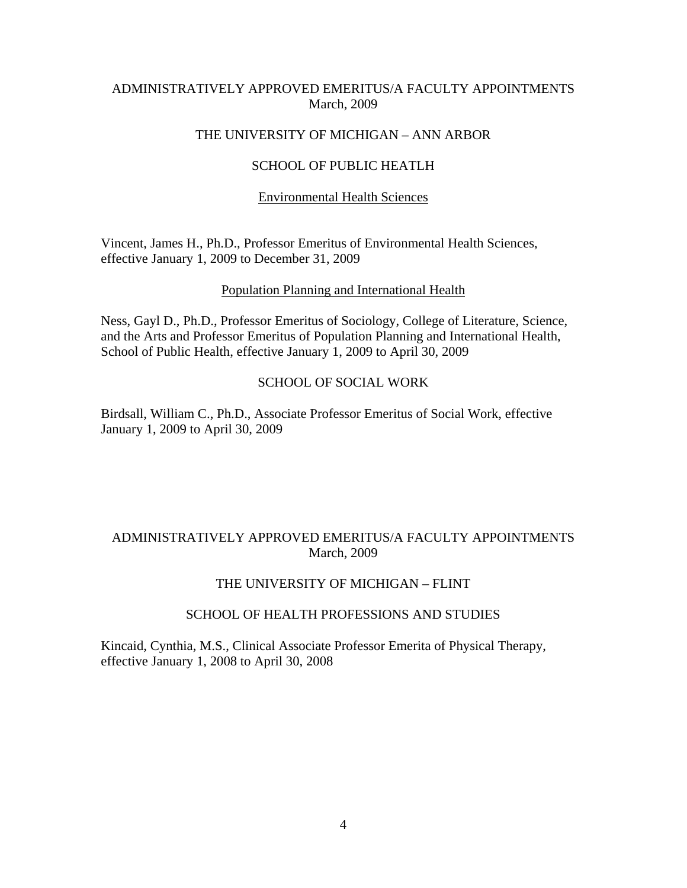# ADMINISTRATIVELY APPROVED EMERITUS/A FACULTY APPOINTMENTS March, 2009

# THE UNIVERSITY OF MICHIGAN – ANN ARBOR

## SCHOOL OF PUBLIC HEATLH

# Environmental Health Sciences

Vincent, James H., Ph.D., Professor Emeritus of Environmental Health Sciences, effective January 1, 2009 to December 31, 2009

## Population Planning and International Health

Ness, Gayl D., Ph.D., Professor Emeritus of Sociology, College of Literature, Science, and the Arts and Professor Emeritus of Population Planning and International Health, School of Public Health, effective January 1, 2009 to April 30, 2009

# SCHOOL OF SOCIAL WORK

Birdsall, William C., Ph.D., Associate Professor Emeritus of Social Work, effective January 1, 2009 to April 30, 2009

# ADMINISTRATIVELY APPROVED EMERITUS/A FACULTY APPOINTMENTS March, 2009

## THE UNIVERSITY OF MICHIGAN – FLINT

## SCHOOL OF HEALTH PROFESSIONS AND STUDIES

Kincaid, Cynthia, M.S., Clinical Associate Professor Emerita of Physical Therapy, effective January 1, 2008 to April 30, 2008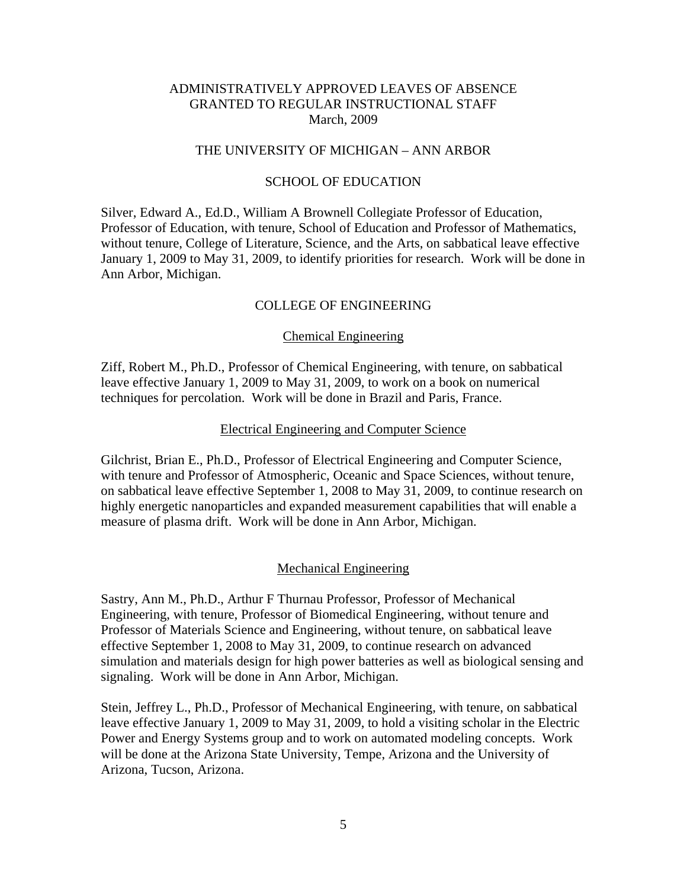### THE UNIVERSITY OF MICHIGAN – ANN ARBOR

## SCHOOL OF EDUCATION

Silver, Edward A., Ed.D., William A Brownell Collegiate Professor of Education, Professor of Education, with tenure, School of Education and Professor of Mathematics, without tenure, College of Literature, Science, and the Arts, on sabbatical leave effective January 1, 2009 to May 31, 2009, to identify priorities for research. Work will be done in Ann Arbor, Michigan.

## COLLEGE OF ENGINEERING

#### Chemical Engineering

Ziff, Robert M., Ph.D., Professor of Chemical Engineering, with tenure, on sabbatical leave effective January 1, 2009 to May 31, 2009, to work on a book on numerical techniques for percolation. Work will be done in Brazil and Paris, France.

#### Electrical Engineering and Computer Science

Gilchrist, Brian E., Ph.D., Professor of Electrical Engineering and Computer Science, with tenure and Professor of Atmospheric, Oceanic and Space Sciences, without tenure, on sabbatical leave effective September 1, 2008 to May 31, 2009, to continue research on highly energetic nanoparticles and expanded measurement capabilities that will enable a measure of plasma drift. Work will be done in Ann Arbor, Michigan.

#### Mechanical Engineering

Sastry, Ann M., Ph.D., Arthur F Thurnau Professor, Professor of Mechanical Engineering, with tenure, Professor of Biomedical Engineering, without tenure and Professor of Materials Science and Engineering, without tenure, on sabbatical leave effective September 1, 2008 to May 31, 2009, to continue research on advanced simulation and materials design for high power batteries as well as biological sensing and signaling. Work will be done in Ann Arbor, Michigan.

Stein, Jeffrey L., Ph.D., Professor of Mechanical Engineering, with tenure, on sabbatical leave effective January 1, 2009 to May 31, 2009, to hold a visiting scholar in the Electric Power and Energy Systems group and to work on automated modeling concepts. Work will be done at the Arizona State University, Tempe, Arizona and the University of Arizona, Tucson, Arizona.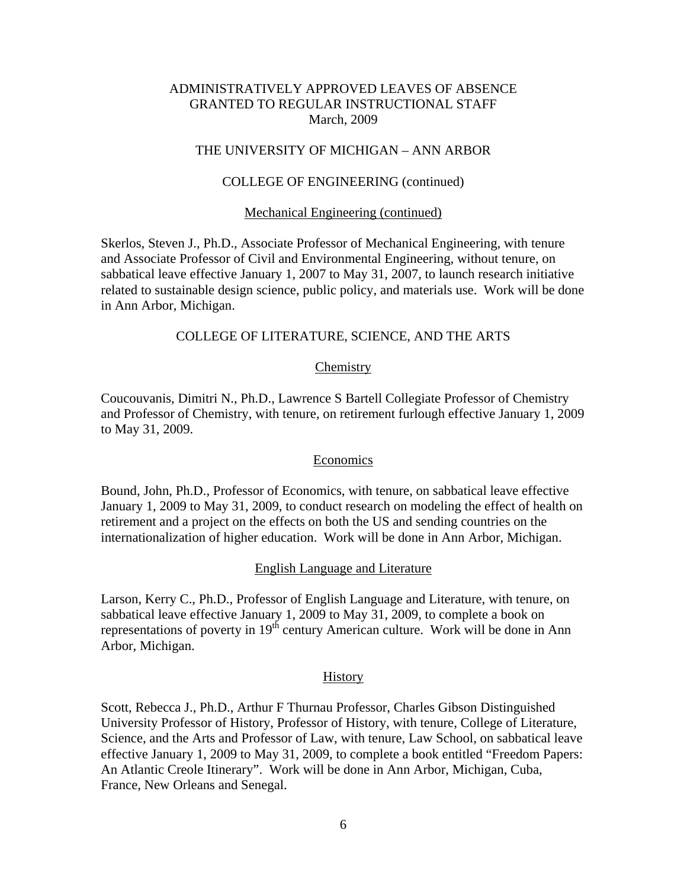## THE UNIVERSITY OF MICHIGAN – ANN ARBOR

## COLLEGE OF ENGINEERING (continued)

#### Mechanical Engineering (continued)

Skerlos, Steven J., Ph.D., Associate Professor of Mechanical Engineering, with tenure and Associate Professor of Civil and Environmental Engineering, without tenure, on sabbatical leave effective January 1, 2007 to May 31, 2007, to launch research initiative related to sustainable design science, public policy, and materials use. Work will be done in Ann Arbor, Michigan.

## COLLEGE OF LITERATURE, SCIENCE, AND THE ARTS

#### **Chemistry**

Coucouvanis, Dimitri N., Ph.D., Lawrence S Bartell Collegiate Professor of Chemistry and Professor of Chemistry, with tenure, on retirement furlough effective January 1, 2009 to May 31, 2009.

#### Economics

Bound, John, Ph.D., Professor of Economics, with tenure, on sabbatical leave effective January 1, 2009 to May 31, 2009, to conduct research on modeling the effect of health on retirement and a project on the effects on both the US and sending countries on the internationalization of higher education. Work will be done in Ann Arbor, Michigan.

#### English Language and Literature

Larson, Kerry C., Ph.D., Professor of English Language and Literature, with tenure, on sabbatical leave effective January 1, 2009 to May 31, 2009, to complete a book on representations of poverty in 19<sup>th</sup> century American culture. Work will be done in Ann Arbor, Michigan.

#### **History**

Scott, Rebecca J., Ph.D., Arthur F Thurnau Professor, Charles Gibson Distinguished University Professor of History, Professor of History, with tenure, College of Literature, Science, and the Arts and Professor of Law, with tenure, Law School, on sabbatical leave effective January 1, 2009 to May 31, 2009, to complete a book entitled "Freedom Papers: An Atlantic Creole Itinerary". Work will be done in Ann Arbor, Michigan, Cuba, France, New Orleans and Senegal.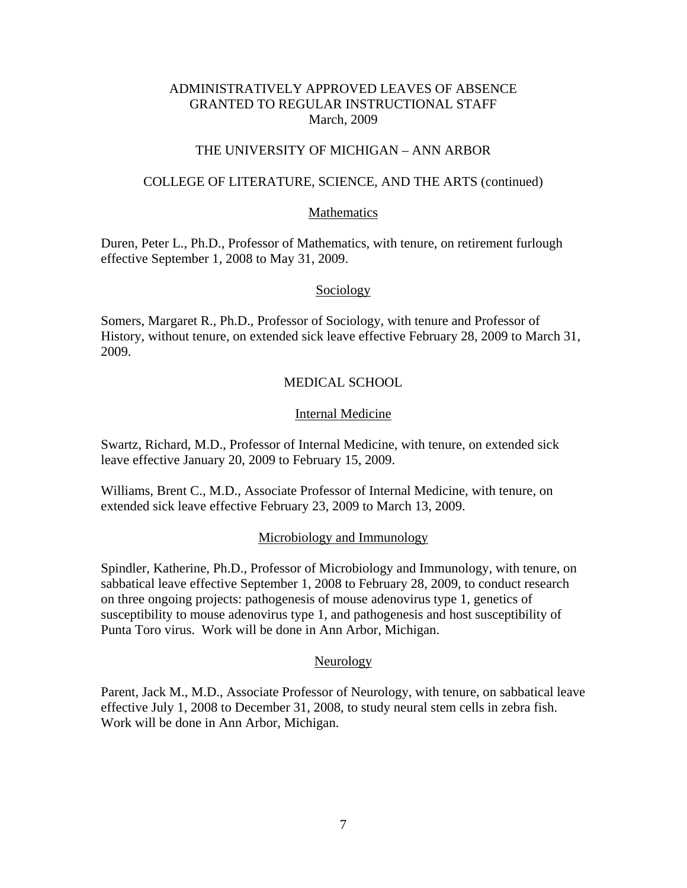# THE UNIVERSITY OF MICHIGAN – ANN ARBOR

## COLLEGE OF LITERATURE, SCIENCE, AND THE ARTS (continued)

### Mathematics

Duren, Peter L., Ph.D., Professor of Mathematics, with tenure, on retirement furlough effective September 1, 2008 to May 31, 2009.

### Sociology

Somers, Margaret R., Ph.D., Professor of Sociology, with tenure and Professor of History, without tenure, on extended sick leave effective February 28, 2009 to March 31, 2009.

## MEDICAL SCHOOL

## Internal Medicine

Swartz, Richard, M.D., Professor of Internal Medicine, with tenure, on extended sick leave effective January 20, 2009 to February 15, 2009.

Williams, Brent C., M.D., Associate Professor of Internal Medicine, with tenure, on extended sick leave effective February 23, 2009 to March 13, 2009.

#### Microbiology and Immunology

Spindler, Katherine, Ph.D., Professor of Microbiology and Immunology, with tenure, on sabbatical leave effective September 1, 2008 to February 28, 2009, to conduct research on three ongoing projects: pathogenesis of mouse adenovirus type 1, genetics of susceptibility to mouse adenovirus type 1, and pathogenesis and host susceptibility of Punta Toro virus. Work will be done in Ann Arbor, Michigan.

#### Neurology

Parent, Jack M., M.D., Associate Professor of Neurology, with tenure, on sabbatical leave effective July 1, 2008 to December 31, 2008, to study neural stem cells in zebra fish. Work will be done in Ann Arbor, Michigan.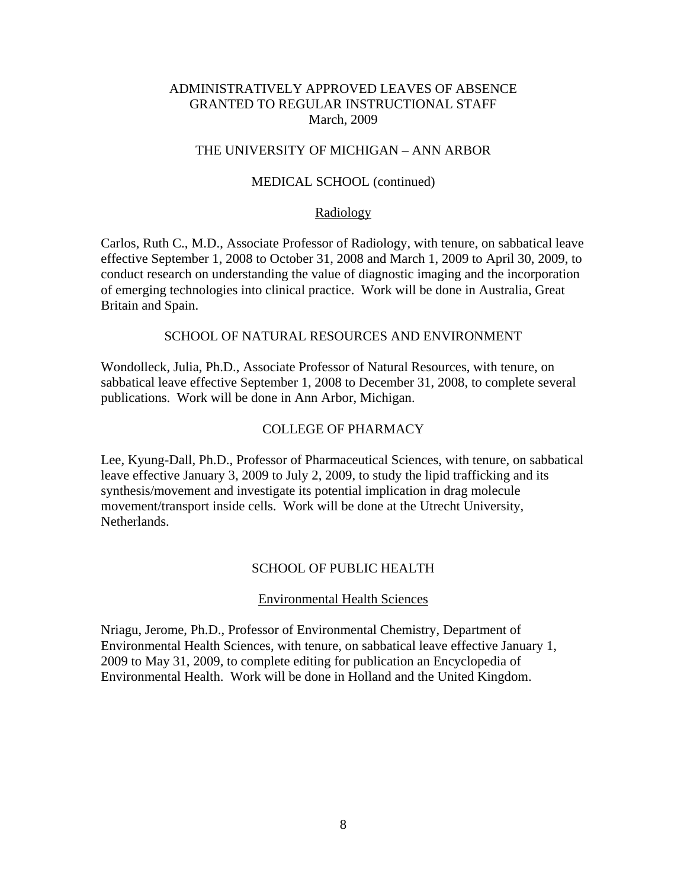## THE UNIVERSITY OF MICHIGAN – ANN ARBOR

## MEDICAL SCHOOL (continued)

#### Radiology

Carlos, Ruth C., M.D., Associate Professor of Radiology, with tenure, on sabbatical leave effective September 1, 2008 to October 31, 2008 and March 1, 2009 to April 30, 2009, to conduct research on understanding the value of diagnostic imaging and the incorporation of emerging technologies into clinical practice. Work will be done in Australia, Great Britain and Spain.

## SCHOOL OF NATURAL RESOURCES AND ENVIRONMENT

Wondolleck, Julia, Ph.D., Associate Professor of Natural Resources, with tenure, on sabbatical leave effective September 1, 2008 to December 31, 2008, to complete several publications. Work will be done in Ann Arbor, Michigan.

#### COLLEGE OF PHARMACY

Lee, Kyung-Dall, Ph.D., Professor of Pharmaceutical Sciences, with tenure, on sabbatical leave effective January 3, 2009 to July 2, 2009, to study the lipid trafficking and its synthesis/movement and investigate its potential implication in drag molecule movement/transport inside cells. Work will be done at the Utrecht University, Netherlands.

#### SCHOOL OF PUBLIC HEALTH

#### Environmental Health Sciences

Nriagu, Jerome, Ph.D., Professor of Environmental Chemistry, Department of Environmental Health Sciences, with tenure, on sabbatical leave effective January 1, 2009 to May 31, 2009, to complete editing for publication an Encyclopedia of Environmental Health. Work will be done in Holland and the United Kingdom.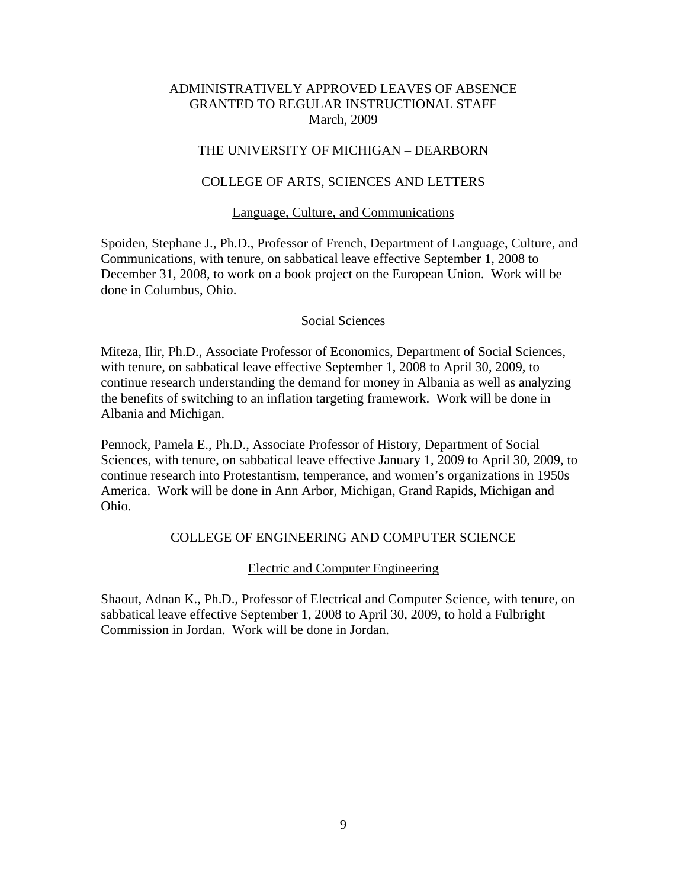# THE UNIVERSITY OF MICHIGAN – DEARBORN

## COLLEGE OF ARTS, SCIENCES AND LETTERS

### Language, Culture, and Communications

Spoiden, Stephane J., Ph.D., Professor of French, Department of Language, Culture, and Communications, with tenure, on sabbatical leave effective September 1, 2008 to December 31, 2008, to work on a book project on the European Union. Work will be done in Columbus, Ohio.

#### Social Sciences

Miteza, Ilir, Ph.D., Associate Professor of Economics, Department of Social Sciences, with tenure, on sabbatical leave effective September 1, 2008 to April 30, 2009, to continue research understanding the demand for money in Albania as well as analyzing the benefits of switching to an inflation targeting framework. Work will be done in Albania and Michigan.

Pennock, Pamela E., Ph.D., Associate Professor of History, Department of Social Sciences, with tenure, on sabbatical leave effective January 1, 2009 to April 30, 2009, to continue research into Protestantism, temperance, and women's organizations in 1950s America. Work will be done in Ann Arbor, Michigan, Grand Rapids, Michigan and Ohio.

## COLLEGE OF ENGINEERING AND COMPUTER SCIENCE

### Electric and Computer Engineering

Shaout, Adnan K., Ph.D., Professor of Electrical and Computer Science, with tenure, on sabbatical leave effective September 1, 2008 to April 30, 2009, to hold a Fulbright Commission in Jordan. Work will be done in Jordan.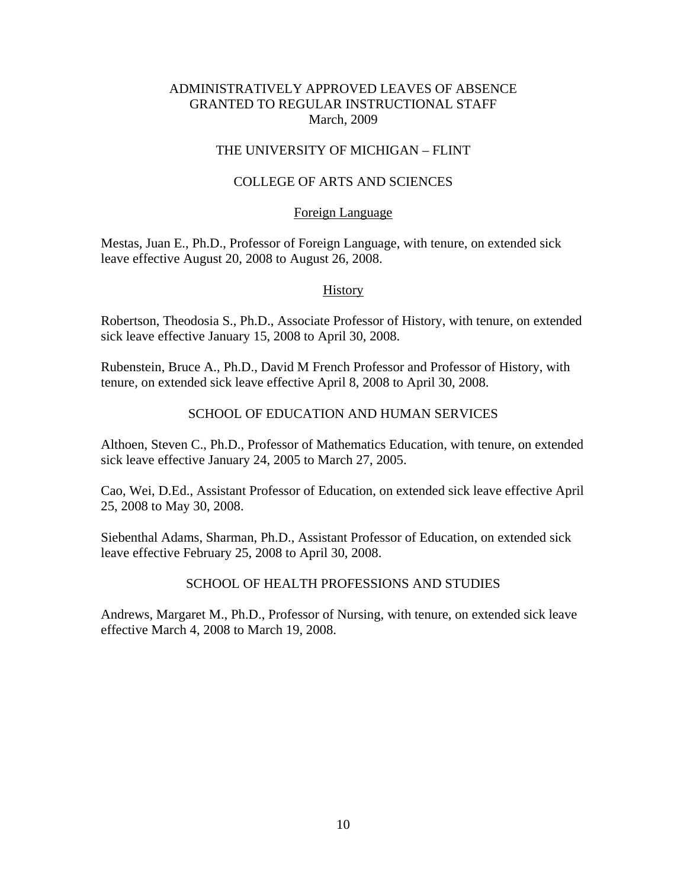# THE UNIVERSITY OF MICHIGAN – FLINT

# COLLEGE OF ARTS AND SCIENCES

## Foreign Language

Mestas, Juan E., Ph.D., Professor of Foreign Language, with tenure, on extended sick leave effective August 20, 2008 to August 26, 2008.

## **History**

Robertson, Theodosia S., Ph.D., Associate Professor of History, with tenure, on extended sick leave effective January 15, 2008 to April 30, 2008.

Rubenstein, Bruce A., Ph.D., David M French Professor and Professor of History, with tenure, on extended sick leave effective April 8, 2008 to April 30, 2008.

# SCHOOL OF EDUCATION AND HUMAN SERVICES

Althoen, Steven C., Ph.D., Professor of Mathematics Education, with tenure, on extended sick leave effective January 24, 2005 to March 27, 2005.

Cao, Wei, D.Ed., Assistant Professor of Education, on extended sick leave effective April 25, 2008 to May 30, 2008.

Siebenthal Adams, Sharman, Ph.D., Assistant Professor of Education, on extended sick leave effective February 25, 2008 to April 30, 2008.

# SCHOOL OF HEALTH PROFESSIONS AND STUDIES

Andrews, Margaret M., Ph.D., Professor of Nursing, with tenure, on extended sick leave effective March 4, 2008 to March 19, 2008.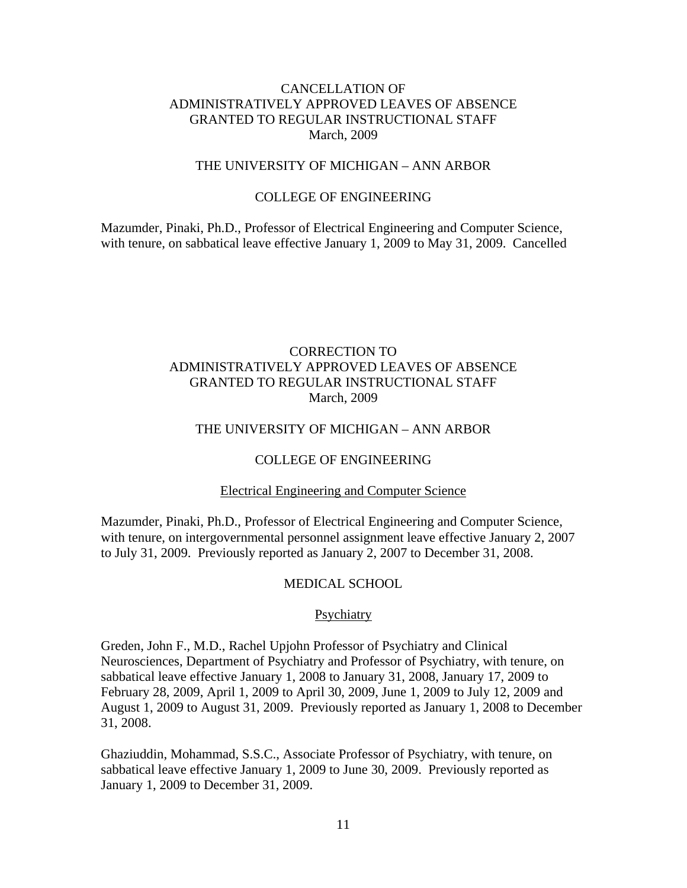### THE UNIVERSITY OF MICHIGAN – ANN ARBOR

# COLLEGE OF ENGINEERING

Mazumder, Pinaki, Ph.D., Professor of Electrical Engineering and Computer Science, with tenure, on sabbatical leave effective January 1, 2009 to May 31, 2009. Cancelled

# CORRECTION TO ADMINISTRATIVELY APPROVED LEAVES OF ABSENCE GRANTED TO REGULAR INSTRUCTIONAL STAFF March, 2009

## THE UNIVERSITY OF MICHIGAN – ANN ARBOR

### COLLEGE OF ENGINEERING

#### Electrical Engineering and Computer Science

Mazumder, Pinaki, Ph.D., Professor of Electrical Engineering and Computer Science, with tenure, on intergovernmental personnel assignment leave effective January 2, 2007 to July 31, 2009. Previously reported as January 2, 2007 to December 31, 2008.

#### MEDICAL SCHOOL

#### Psychiatry

Greden, John F., M.D., Rachel Upjohn Professor of Psychiatry and Clinical Neurosciences, Department of Psychiatry and Professor of Psychiatry, with tenure, on sabbatical leave effective January 1, 2008 to January 31, 2008, January 17, 2009 to February 28, 2009, April 1, 2009 to April 30, 2009, June 1, 2009 to July 12, 2009 and August 1, 2009 to August 31, 2009. Previously reported as January 1, 2008 to December 31, 2008.

Ghaziuddin, Mohammad, S.S.C., Associate Professor of Psychiatry, with tenure, on sabbatical leave effective January 1, 2009 to June 30, 2009. Previously reported as January 1, 2009 to December 31, 2009.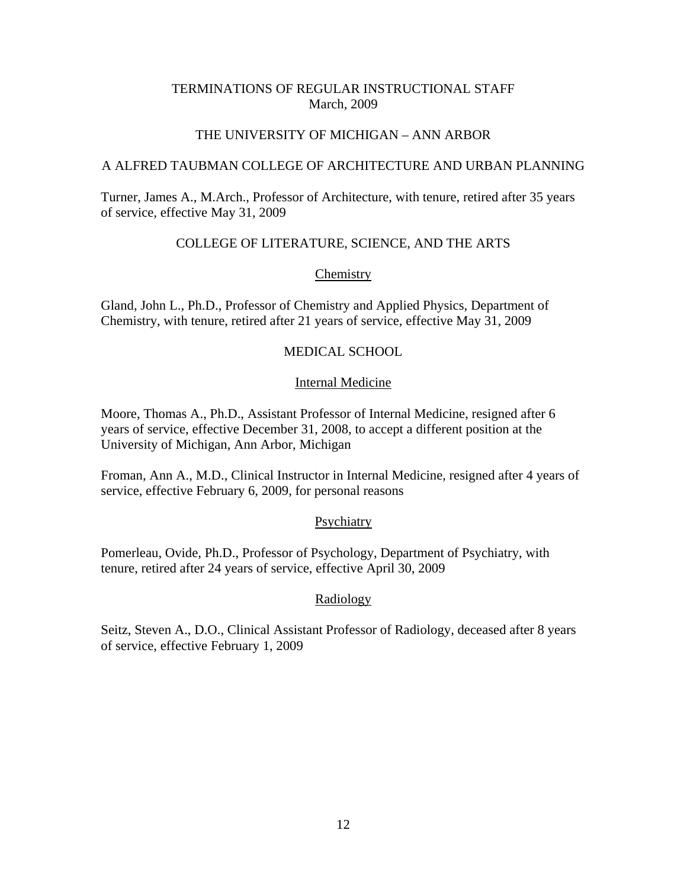# TERMINATIONS OF REGULAR INSTRUCTIONAL STAFF March, 2009

## THE UNIVERSITY OF MICHIGAN – ANN ARBOR

## A ALFRED TAUBMAN COLLEGE OF ARCHITECTURE AND URBAN PLANNING

Turner, James A., M.Arch., Professor of Architecture, with tenure, retired after 35 years of service, effective May 31, 2009

# COLLEGE OF LITERATURE, SCIENCE, AND THE ARTS

## **Chemistry**

Gland, John L., Ph.D., Professor of Chemistry and Applied Physics, Department of Chemistry, with tenure, retired after 21 years of service, effective May 31, 2009

# MEDICAL SCHOOL

## Internal Medicine

Moore, Thomas A., Ph.D., Assistant Professor of Internal Medicine, resigned after 6 years of service, effective December 31, 2008, to accept a different position at the University of Michigan, Ann Arbor, Michigan

Froman, Ann A., M.D., Clinical Instructor in Internal Medicine, resigned after 4 years of service, effective February 6, 2009, for personal reasons

## **Psychiatry**

Pomerleau, Ovide, Ph.D., Professor of Psychology, Department of Psychiatry, with tenure, retired after 24 years of service, effective April 30, 2009

## Radiology

Seitz, Steven A., D.O., Clinical Assistant Professor of Radiology, deceased after 8 years of service, effective February 1, 2009